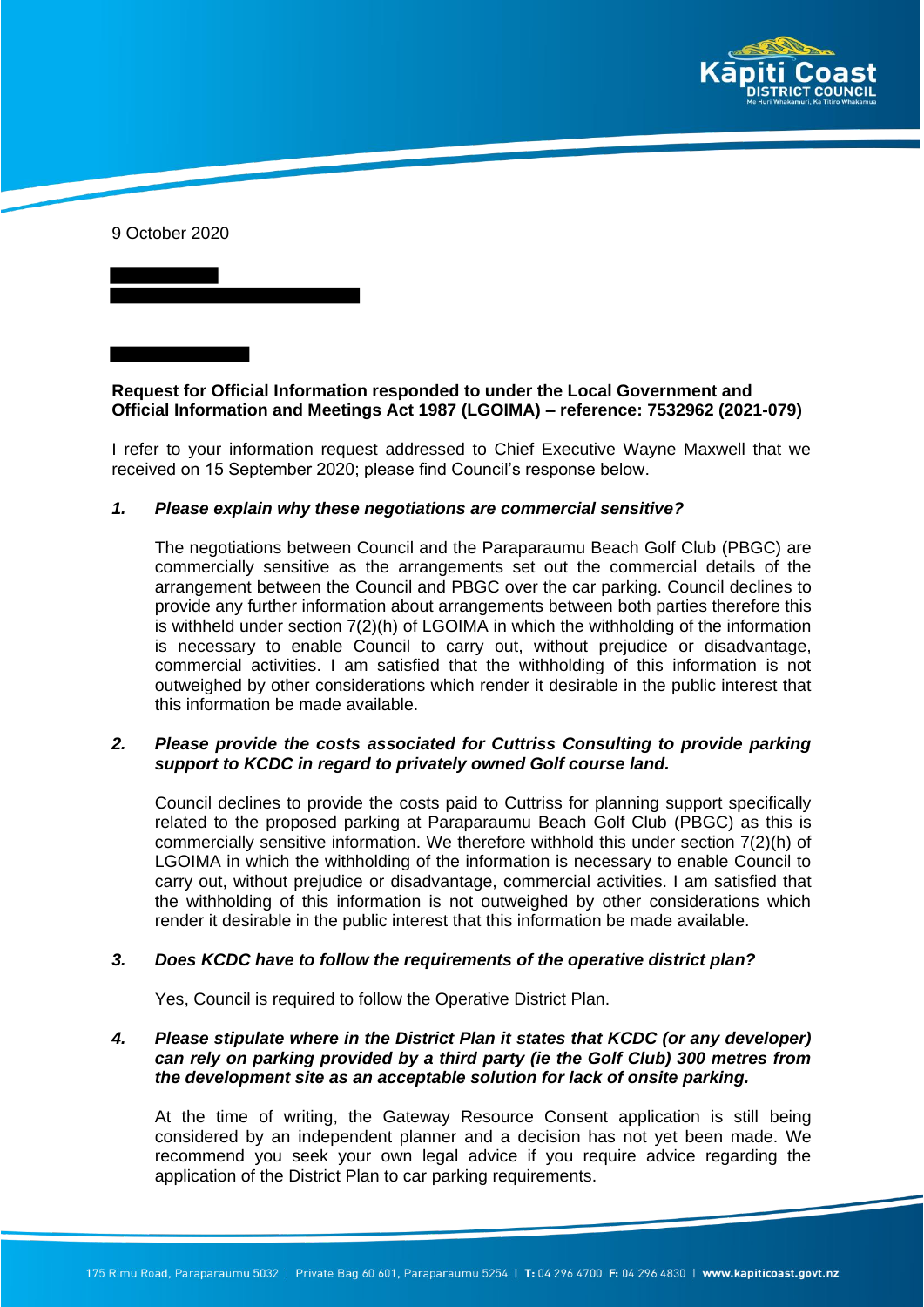

9 October 2020

# **Request for Official Information responded to under the Local Government and Official Information and Meetings Act 1987 (LGOIMA) – reference: 7532962 (2021-079)**

I refer to your information request addressed to Chief Executive Wayne Maxwell that we received on 15 September 2020; please find Council's response below.

#### *1. Please explain why these negotiations are commercial sensitive?*

The negotiations between Council and the Paraparaumu Beach Golf Club (PBGC) are commercially sensitive as the arrangements set out the commercial details of the arrangement between the Council and PBGC over the car parking. Council declines to provide any further information about arrangements between both parties therefore this is withheld under section 7(2)(h) of LGOIMA in which the withholding of the information is necessary to enable Council to carry out, without prejudice or disadvantage, commercial activities. I am satisfied that the withholding of this information is not outweighed by other considerations which render it desirable in the public interest that this information be made available.

## *2. Please provide the costs associated for Cuttriss Consulting to provide parking support to KCDC in regard to privately owned Golf course land.*

Council declines to provide the costs paid to Cuttriss for planning support specifically related to the proposed parking at Paraparaumu Beach Golf Club (PBGC) as this is commercially sensitive information. We therefore withhold this under section 7(2)(h) of LGOIMA in which the withholding of the information is necessary to enable Council to carry out, without prejudice or disadvantage, commercial activities. I am satisfied that the withholding of this information is not outweighed by other considerations which render it desirable in the public interest that this information be made available.

#### *3. Does KCDC have to follow the requirements of the operative district plan?*

Yes, Council is required to follow the Operative District Plan.

## *4. Please stipulate where in the District Plan it states that KCDC (or any developer) can rely on parking provided by a third party (ie the Golf Club) 300 metres from the development site as an acceptable solution for lack of onsite parking.*

At the time of writing, the Gateway Resource Consent application is still being considered by an independent planner and a decision has not yet been made. We recommend you seek your own legal advice if you require advice regarding the application of the District Plan to car parking requirements.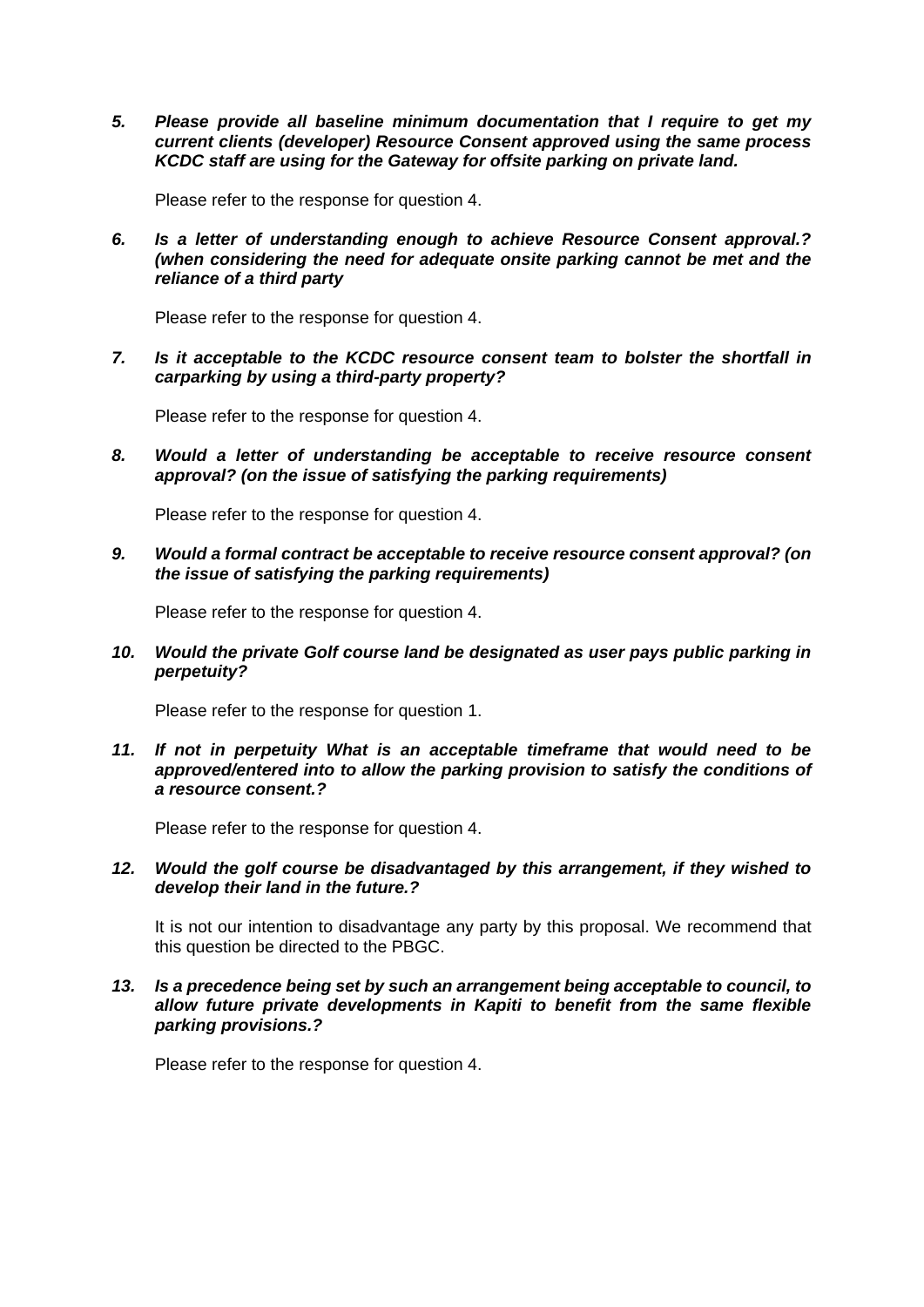*5. Please provide all baseline minimum documentation that I require to get my current clients (developer) Resource Consent approved using the same process KCDC staff are using for the Gateway for offsite parking on private land.*

Please refer to the response for question 4.

*6. Is a letter of understanding enough to achieve Resource Consent approval.? (when considering the need for adequate onsite parking cannot be met and the reliance of a third party* 

Please refer to the response for question 4.

*7. Is it acceptable to the KCDC resource consent team to bolster the shortfall in carparking by using a third-party property?*

Please refer to the response for question 4.

*8. Would a letter of understanding be acceptable to receive resource consent approval? (on the issue of satisfying the parking requirements)*

Please refer to the response for question 4.

*9. Would a formal contract be acceptable to receive resource consent approval? (on the issue of satisfying the parking requirements)*

Please refer to the response for question 4.

*10. Would the private Golf course land be designated as user pays public parking in perpetuity?*

Please refer to the response for question 1.

*11. If not in perpetuity What is an acceptable timeframe that would need to be approved/entered into to allow the parking provision to satisfy the conditions of a resource consent.?*

Please refer to the response for question 4.

*12. Would the golf course be disadvantaged by this arrangement, if they wished to develop their land in the future.?*

It is not our intention to disadvantage any party by this proposal. We recommend that this question be directed to the PBGC.

## *13. Is a precedence being set by such an arrangement being acceptable to council, to allow future private developments in Kapiti to benefit from the same flexible parking provisions.?*

Please refer to the response for question 4.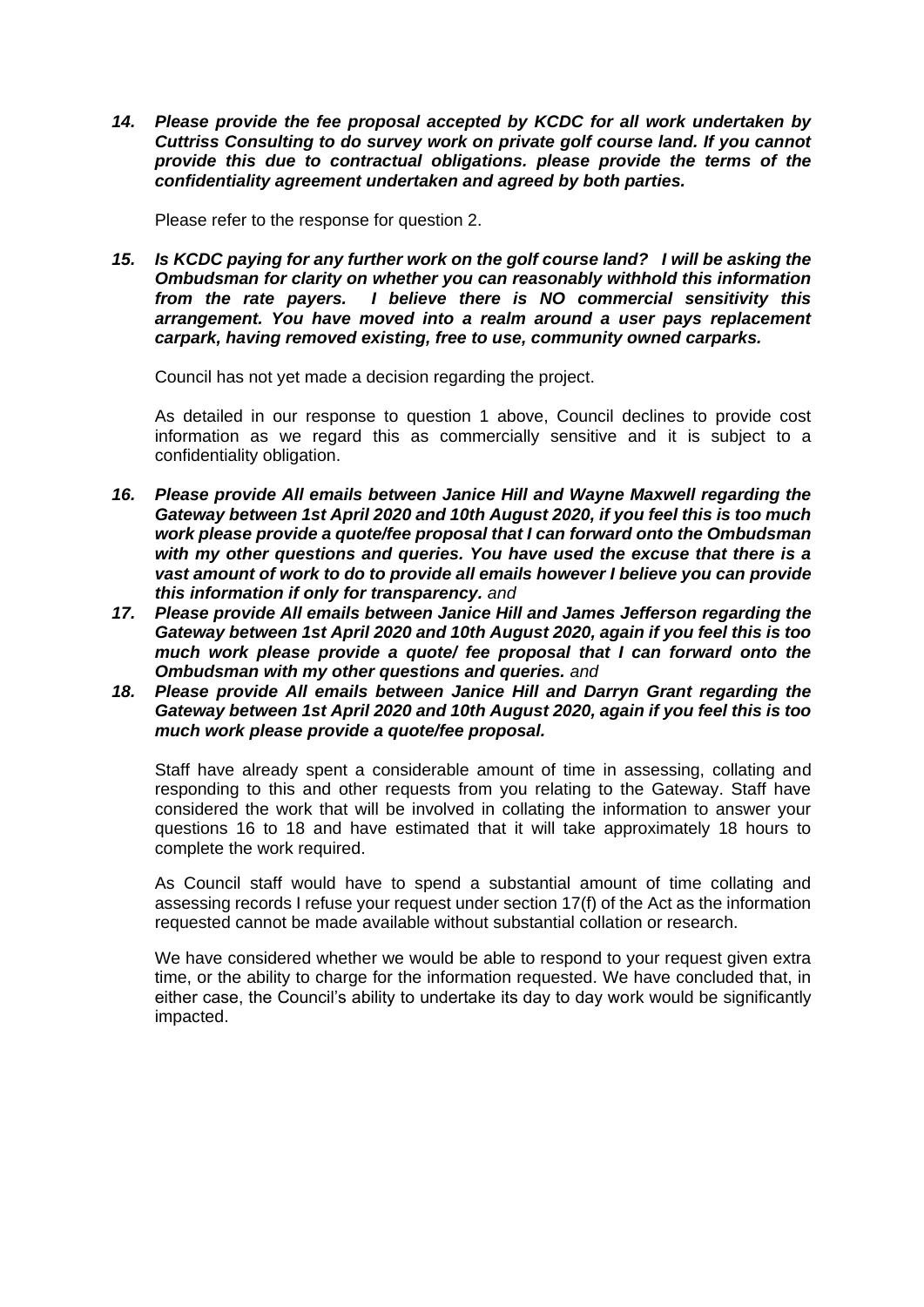*14. Please provide the fee proposal accepted by KCDC for all work undertaken by Cuttriss Consulting to do survey work on private golf course land. If you cannot provide this due to contractual obligations. please provide the terms of the confidentiality agreement undertaken and agreed by both parties.*

Please refer to the response for question 2.

*15. Is KCDC paying for any further work on the golf course land? I will be asking the Ombudsman for clarity on whether you can reasonably withhold this information from the rate payers. I believe there is NO commercial sensitivity this arrangement. You have moved into a realm around a user pays replacement carpark, having removed existing, free to use, community owned carparks.*

Council has not yet made a decision regarding the project.

As detailed in our response to question 1 above, Council declines to provide cost information as we regard this as commercially sensitive and it is subject to a confidentiality obligation.

- *16. Please provide All emails between Janice Hill and Wayne Maxwell regarding the Gateway between 1st April 2020 and 10th August 2020, if you feel this is too much work please provide a quote/fee proposal that I can forward onto the Ombudsman with my other questions and queries. You have used the excuse that there is a vast amount of work to do to provide all emails however I believe you can provide this information if only for transparency. and*
- *17. Please provide All emails between Janice Hill and James Jefferson regarding the Gateway between 1st April 2020 and 10th August 2020, again if you feel this is too much work please provide a quote/ fee proposal that I can forward onto the Ombudsman with my other questions and queries. and*
- *18. Please provide All emails between Janice Hill and Darryn Grant regarding the Gateway between 1st April 2020 and 10th August 2020, again if you feel this is too much work please provide a quote/fee proposal.*

Staff have already spent a considerable amount of time in assessing, collating and responding to this and other requests from you relating to the Gateway. Staff have considered the work that will be involved in collating the information to answer your questions 16 to 18 and have estimated that it will take approximately 18 hours to complete the work required.

As Council staff would have to spend a substantial amount of time collating and assessing records I refuse your request under section 17(f) of the Act as the information requested cannot be made available without substantial collation or research.

We have considered whether we would be able to respond to your request given extra time, or the ability to charge for the information requested. We have concluded that, in either case, the Council's ability to undertake its day to day work would be significantly impacted.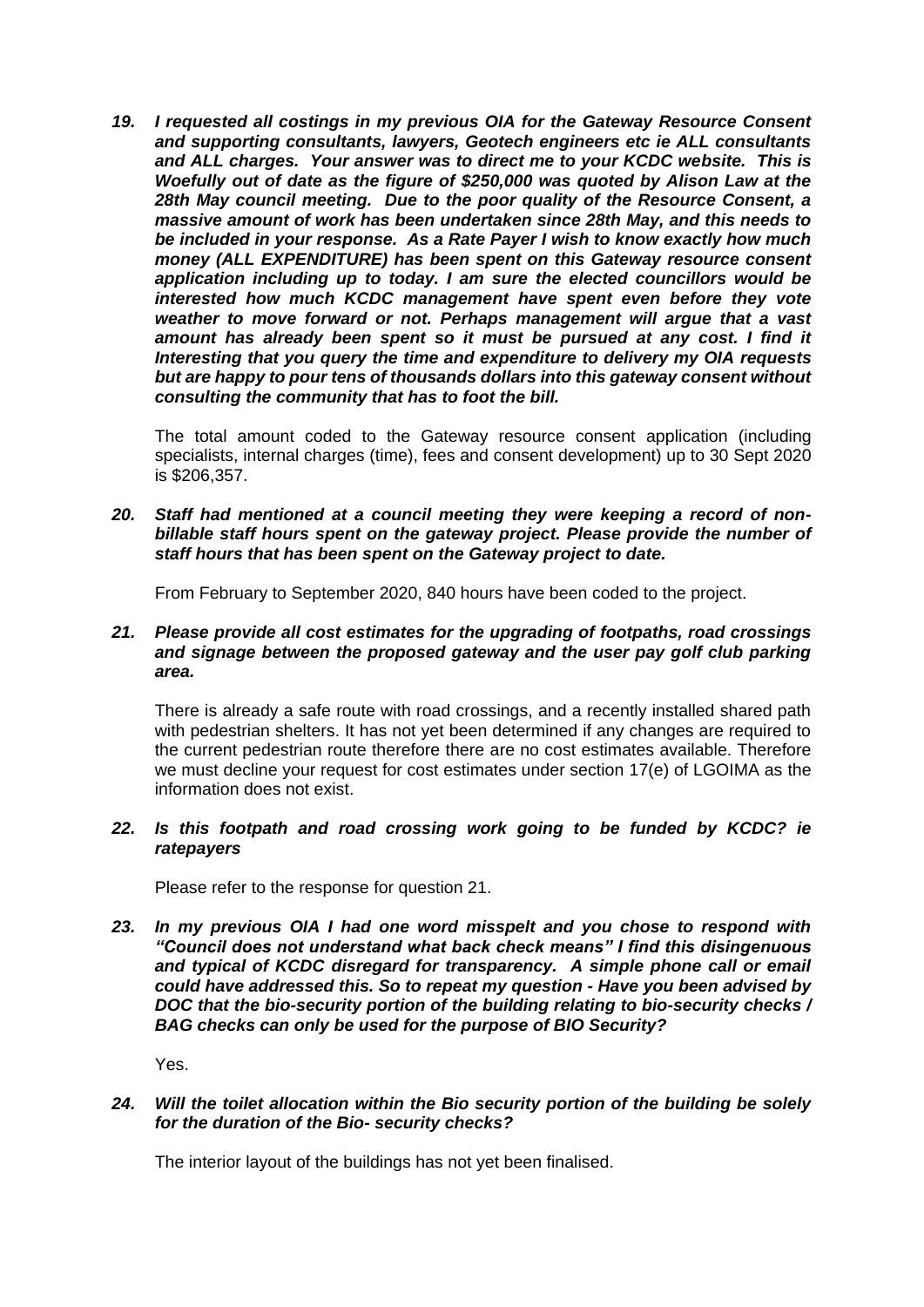*19. I requested all costings in my previous OIA for the Gateway Resource Consent and supporting consultants, lawyers, Geotech engineers etc ie ALL consultants and ALL charges. Your answer was to direct me to your KCDC website. This is Woefully out of date as the figure of \$250,000 was quoted by Alison Law at the 28th May council meeting. Due to the poor quality of the Resource Consent, a massive amount of work has been undertaken since 28th May, and this needs to be included in your response. As a Rate Payer I wish to know exactly how much money (ALL EXPENDITURE) has been spent on this Gateway resource consent application including up to today. I am sure the elected councillors would be interested how much KCDC management have spent even before they vote weather to move forward or not. Perhaps management will argue that a vast amount has already been spent so it must be pursued at any cost. I find it Interesting that you query the time and expenditure to delivery my OIA requests but are happy to pour tens of thousands dollars into this gateway consent without consulting the community that has to foot the bill.*

The total amount coded to the Gateway resource consent application (including specialists, internal charges (time), fees and consent development) up to 30 Sept 2020 is \$206,357.

*20. Staff had mentioned at a council meeting they were keeping a record of nonbillable staff hours spent on the gateway project. Please provide the number of staff hours that has been spent on the Gateway project to date.*

From February to September 2020, 840 hours have been coded to the project.

## *21. Please provide all cost estimates for the upgrading of footpaths, road crossings*  and signage between the proposed gateway and the user pay golf club parking *area.*

There is already a safe route with road crossings, and a recently installed shared path with pedestrian shelters. It has not yet been determined if any changes are required to the current pedestrian route therefore there are no cost estimates available. Therefore we must decline your request for cost estimates under section 17(e) of LGOIMA as the information does not exist.

# *22. Is this footpath and road crossing work going to be funded by KCDC? ie ratepayers*

Please refer to the response for question 21.

*23. In my previous OIA I had one word misspelt and you chose to respond with "Council does not understand what back check means" I find this disingenuous and typical of KCDC disregard for transparency. A simple phone call or email could have addressed this. So to repeat my question - Have you been advised by DOC that the bio-security portion of the building relating to bio-security checks / BAG checks can only be used for the purpose of BIO Security?*

Yes.

# *24. Will the toilet allocation within the Bio security portion of the building be solely for the duration of the Bio- security checks?*

The interior layout of the buildings has not yet been finalised.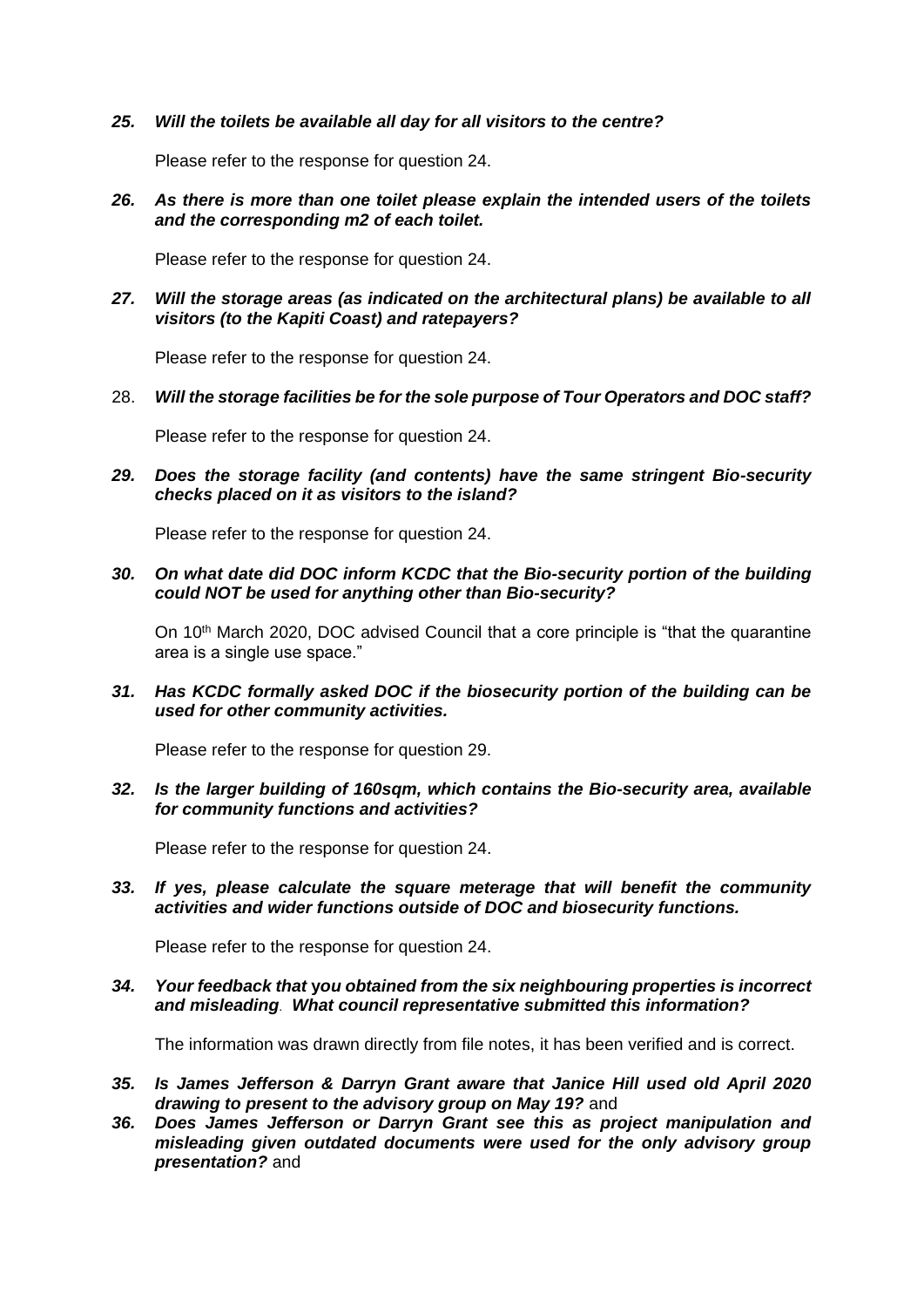#### *25. Will the toilets be available all day for all visitors to the centre?*

Please refer to the response for question 24.

*26. As there is more than one toilet please explain the intended users of the toilets and the corresponding m2 of each toilet.*

Please refer to the response for question 24.

*27. Will the storage areas (as indicated on the architectural plans) be available to all visitors (to the Kapiti Coast) and ratepayers?*

Please refer to the response for question 24.

28. *Will the storage facilities be for the sole purpose of Tour Operators and DOC staff?*

Please refer to the response for question 24.

*29. Does the storage facility (and contents) have the same stringent Bio-security checks placed on it as visitors to the island?*

Please refer to the response for question 24.

*30. On what date did DOC inform KCDC that the Bio-security portion of the building could NOT be used for anything other than Bio-security?* 

On 10<sup>th</sup> March 2020, DOC advised Council that a core principle is "that the quarantine" area is a single use space."

*31. Has KCDC formally asked DOC if the biosecurity portion of the building can be used for other community activities.* 

Please refer to the response for question 29.

*32. Is the larger building of 160sqm, which contains the Bio-security area, available for community functions and activities?*

Please refer to the response for question 24.

*33. If yes, please calculate the square meterage that will benefit the community activities and wider functions outside of DOC and biosecurity functions.*

Please refer to the response for question 24.

*34. Your feedback that* **y***ou obtained from the six neighbouring properties is incorrect and misleading*. *What council representative submitted this information?*

The information was drawn directly from file notes, it has been verified and is correct.

- *35. Is James Jefferson & Darryn Grant aware that Janice Hill used old April 2020 drawing to present to the advisory group on May 19?* and
- *36. Does James Jefferson or Darryn Grant see this as project manipulation and misleading given outdated documents were used for the only advisory group presentation?* and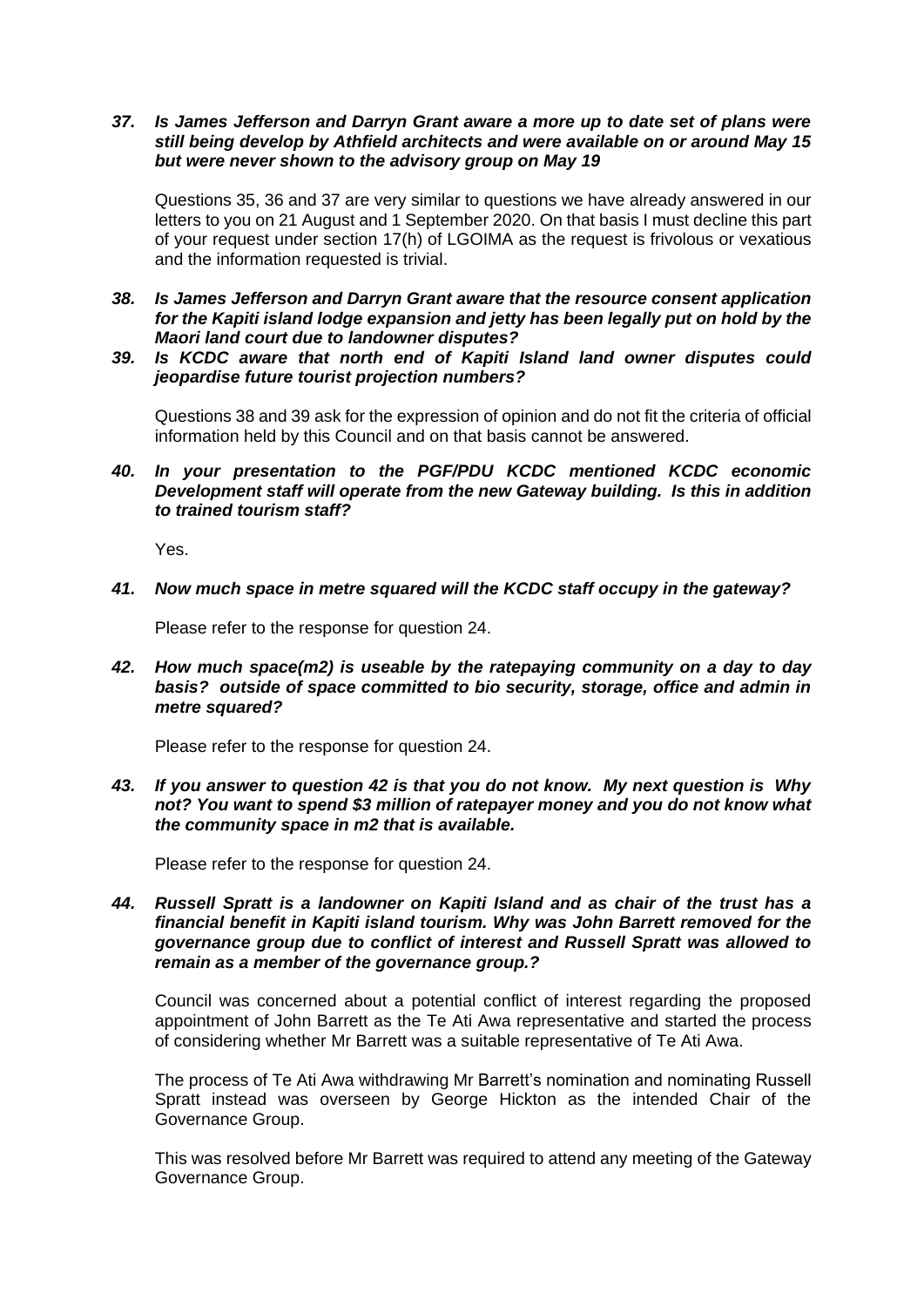## *37. Is James Jefferson and Darryn Grant aware a more up to date set of plans were still being develop by Athfield architects and were available on or around May 15 but were never shown to the advisory group on May 19*

Questions 35, 36 and 37 are very similar to questions we have already answered in our letters to you on 21 August and 1 September 2020. On that basis I must decline this part of your request under section 17(h) of LGOIMA as the request is frivolous or vexatious and the information requested is trivial.

- *38. Is James Jefferson and Darryn Grant aware that the resource consent application for the Kapiti island lodge expansion and jetty has been legally put on hold by the Maori land court due to landowner disputes?*
- *39. Is KCDC aware that north end of Kapiti Island land owner disputes could jeopardise future tourist projection numbers?*

Questions 38 and 39 ask for the expression of opinion and do not fit the criteria of official information held by this Council and on that basis cannot be answered.

*40. In your presentation to the PGF/PDU KCDC mentioned KCDC economic Development staff will operate from the new Gateway building. Is this in addition to trained tourism staff?*

Yes.

*41. Now much space in metre squared will the KCDC staff occupy in the gateway?*

Please refer to the response for question 24.

*42. How much space(m2) is useable by the ratepaying community on a day to day basis? outside of space committed to bio security, storage, office and admin in metre squared?*

Please refer to the response for question 24.

*43. If you answer to question 42 is that you do not know. My next question is Why not? You want to spend \$3 million of ratepayer money and you do not know what the community space in m2 that is available.* 

Please refer to the response for question 24.

*44. Russell Spratt is a landowner on Kapiti Island and as chair of the trust has a financial benefit in Kapiti island tourism. Why was John Barrett removed for the governance group due to conflict of interest and Russell Spratt was allowed to remain as a member of the governance group.?* 

Council was concerned about a potential conflict of interest regarding the proposed appointment of John Barrett as the Te Ati Awa representative and started the process of considering whether Mr Barrett was a suitable representative of Te Ati Awa.

The process of Te Ati Awa withdrawing Mr Barrett's nomination and nominating Russell Spratt instead was overseen by George Hickton as the intended Chair of the Governance Group.

This was resolved before Mr Barrett was required to attend any meeting of the Gateway Governance Group.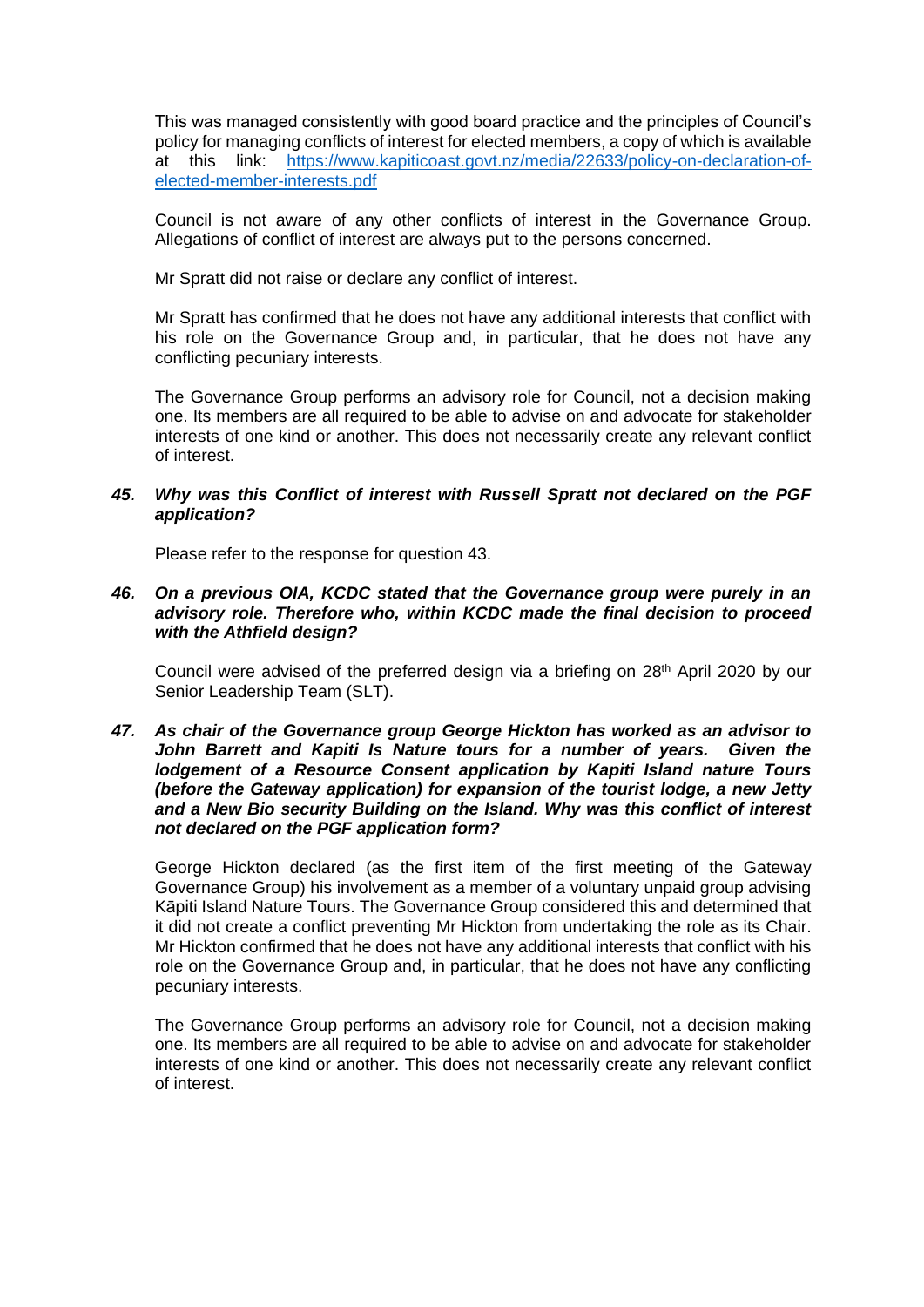This was managed consistently with good board practice and the principles of Council's policy for managing conflicts of interest for elected members, a copy of which is available at this link: https://www.kapiticoast.govt.nz/media/22633/policy-on-declaration-ofelected-member-interests.pdf

Council is not aware of any other conflicts of interest in the Governance Group. Allegations of conflict of interest are always put to the persons concerned.

Mr Spratt did not raise or declare any conflict of interest.

Mr Spratt has confirmed that he does not have any additional interests that conflict with his role on the Governance Group and, in particular, that he does not have any conflicting pecuniary interests.

The Governance Group performs an advisory role for Council, not a decision making one. Its members are all required to be able to advise on and advocate for stakeholder interests of one kind or another. This does not necessarily create any relevant conflict of interest.

## *45. Why was this Conflict of interest with Russell Spratt not declared on the PGF application?*

Please refer to the response for question 43.

## *46. On a previous OIA, KCDC stated that the Governance group were purely in an advisory role. Therefore who, within KCDC made the final decision to proceed with the Athfield design?*

Council were advised of the preferred design via a briefing on  $28<sup>th</sup>$  April 2020 by our Senior Leadership Team (SLT).

## *47. As chair of the Governance group George Hickton has worked as an advisor to John Barrett and Kapiti Is Nature tours for a number of years. Given the lodgement of a Resource Consent application by Kapiti Island nature Tours (before the Gateway application) for expansion of the tourist lodge, a new Jetty and a New Bio security Building on the Island. Why was this conflict of interest not declared on the PGF application form?*

George Hickton declared (as the first item of the first meeting of the Gateway Governance Group) his involvement as a member of a voluntary unpaid group advising Kāpiti Island Nature Tours. The Governance Group considered this and determined that it did not create a conflict preventing Mr Hickton from undertaking the role as its Chair. Mr Hickton confirmed that he does not have any additional interests that conflict with his role on the Governance Group and, in particular, that he does not have any conflicting pecuniary interests.

The Governance Group performs an advisory role for Council, not a decision making one. Its members are all required to be able to advise on and advocate for stakeholder interests of one kind or another. This does not necessarily create any relevant conflict of interest.